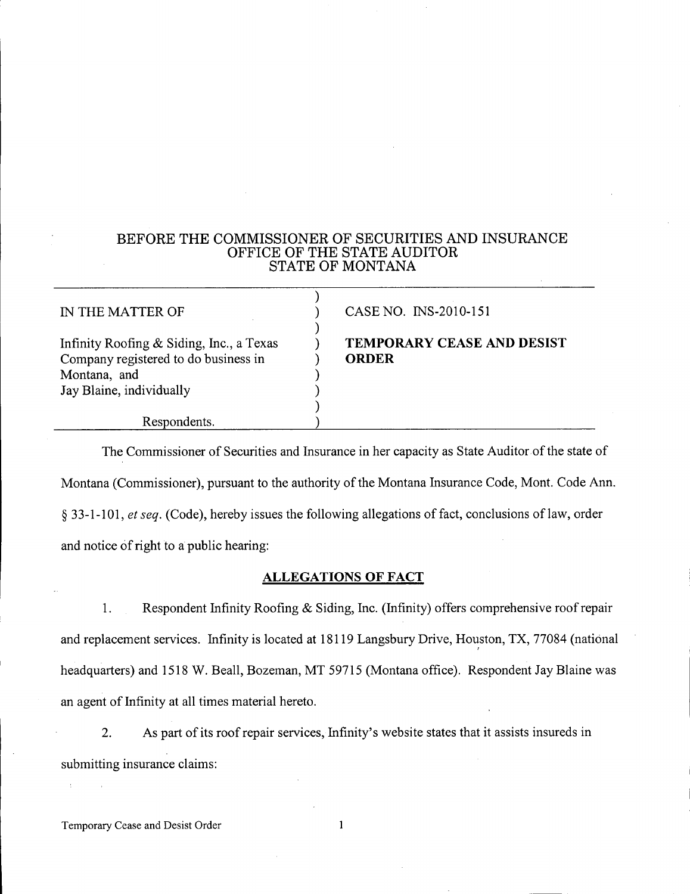## BEFORE THE COMMISSIONER OF SECURITIES AND INSURANCE OFFICE OF THE STATE AUDITOR STATE OF MONTANA

| IN THE MATTER OF                                                                                                             | CASE NO. INS-2010-151                             |
|------------------------------------------------------------------------------------------------------------------------------|---------------------------------------------------|
| Infinity Roofing & Siding, Inc., a Texas<br>Company registered to do business in<br>Montana, and<br>Jay Blaine, individually | <b>TEMPORARY CEASE AND DESIST</b><br><b>ORDER</b> |
| Respondents.                                                                                                                 |                                                   |

The Commissioner of Securities and Insurance in her capacity as State Auditor of the state of Montana (Commissioner), pursuant to the authority of the Montana Insurance Code, Mont. Code Ann. S 33-1-101, *et seq.* (Code), hereby issues the following allegations of fact, conclusions oflaw, order and notice of right to a public hearing:

# ALLEGATIONS OF FACT

1. Respondent Infinity Roofing & Siding, Inc. (Infinity) offers comprehensive roof repair and replacement services. Infinity is located at 18119 Langsbury Drive, Houston, TX, 77084 (national headquarters) and 1518 W. Beall, Bozeman, MT 59715 (Montana office). Respondent Jay Blaine was an agent of Infinity at all times material hereto.

2. As part of its roof repair services, Infinity's website states that it assists insureds in submitting insurance claims:

 $\mathbf{1}$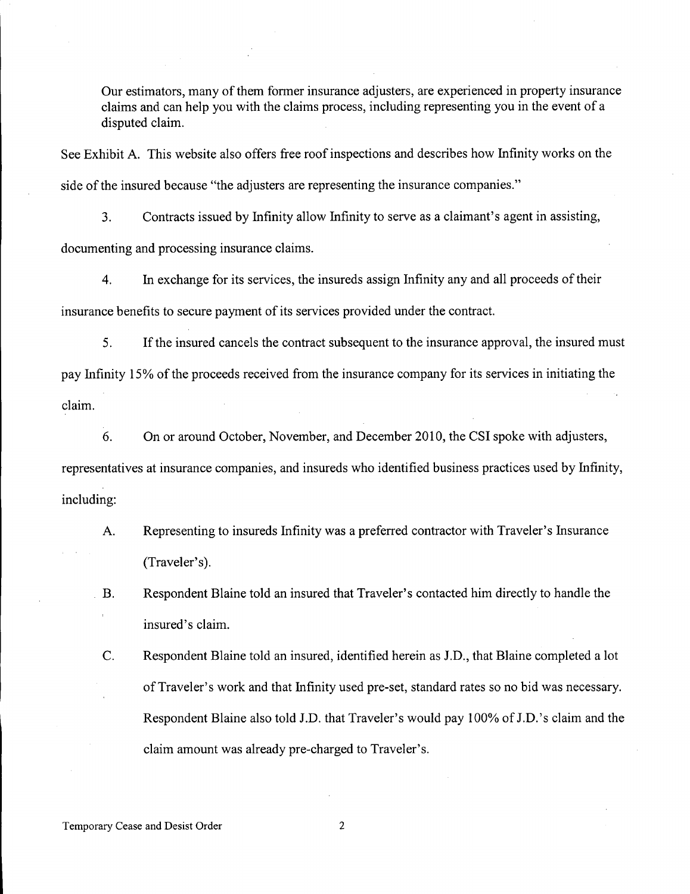Our estimators, many of them former insurance adjusters, are experienced in property insurance claims and can help you with the claims process, including representing you in the event of a disputed claim.

See Exhibit A. This website also offers free roof inspections and describes how Infinity works on the side of the insured because "the adjusters are representing the insurance companies."

3. Contracts issued by Infinity allow Infinity to serve as a claimant's agent in assisting, documenting and processing insurance claims.

4. In exchange for its services, the insureds assign Infinity any and all proceeds of their insurance benefits to secure payment of its services provided under the contract.

5. **If** the insured cancels the contract subsequent to the insurance approval, the insured must pay Infinity 15% of the proceeds received from the insurance company for its services in initiating the claim.

6. On or around October, November, and December 2010, the CSI spoke with adjusters, representatives at insurance companies, and insureds who identified business practices used by Infinity, including:

A. Representing to insureds Infinity was a preferred contractor with Traveler's Insurance (Traveler's).

B. Respondent Blaine told an insured that Traveler's contacted him directly to handle the insured's claim.

C. Respondent Blaine told an insured, identified herein as J.D., that Blaine completed a lot of Traveler's work and that Infinity used pre-set, standard rates so no bid was necessary. Respondent Blaine also told J.D. that Traveler's would pay 100% of J.D. 's claim and the claim amount was already pre-charged to Traveler's.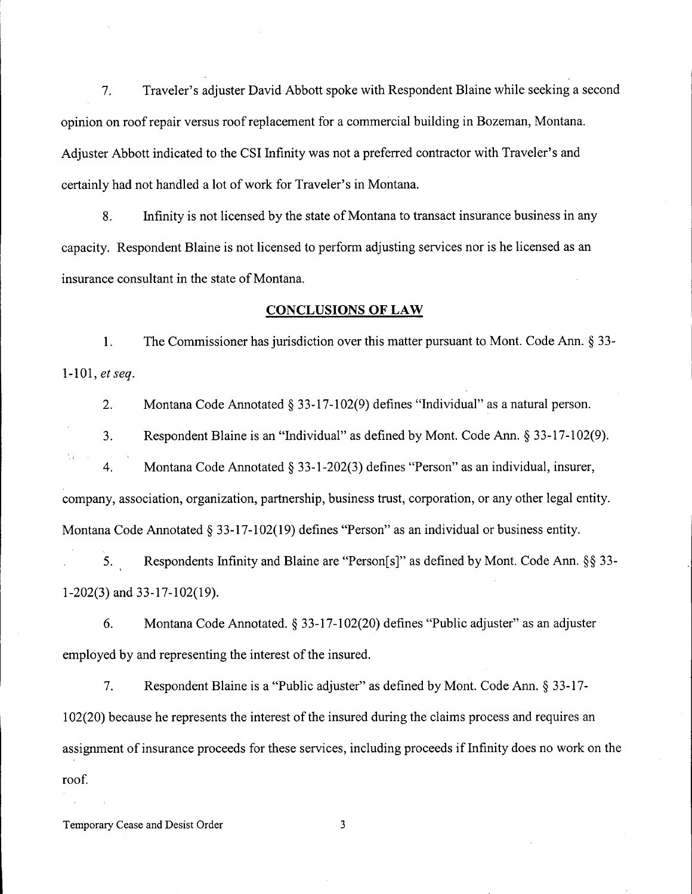7. Traveler's adjuster David Abbott spoke with Respondent Blaine while seeking a second opinion on roof repair versus roof replacement for a commercial building in Bozeman, Montana. Adjuster Abbott indicated to the CSI Infinity was not a preferred contractor with Traveler's and certainly had not handled a lot of work for Traveler's in Montana.

8. Infinity is not licensed by the state of Montana to transact insurance business in any capacity. Respondent Blaine is not licensed to perform adjusting services nor is he licensed as an insurance consultant in the state of Montana.

### **CONCLUSIONS OF LAW**

1. The Commissioner has jurisdiction over this matter pursuant to Mont. Code Ann. S 33- *1-101, et seq.*

2. Montana Code Annotated  $\S$  33-17-102(9) defines "Individual" as a natural person.

3. Respondent Blaine is an "Individual" as defined by Mont. Code Ann. S 33-17-102(9).

4. Montana Code Annotated  $\S$  33-1-202(3) defines "Person" as an individual, insurer, company, association, organization, partnership, business trust, corporation, or any other legal entity. Montana Code Annotated  $\S 33-17-102(19)$  defines "Person" as an individual or business entity.

5. Respondents Infinity and Blaine are "Person[s]" as defined by Mont. Code Ann. §§ 33-1-202(3) and 33-17-102(19).

6. Montana Code Annotated. S **33-17-102(20)** defines "Public adjuster" as an adjuster employed by and representing the interest of the insured.

7. Respondent Blaine is a "Public adjuster" as defined by Mont. Code Ann. S 33-17- 102(20) because he represents the interest of the insured during the claims process and requires an assignment of insurance proceeds for these services, including proceeds if Infinity does no work on the roof.

Temporary Cease and Desist Order 3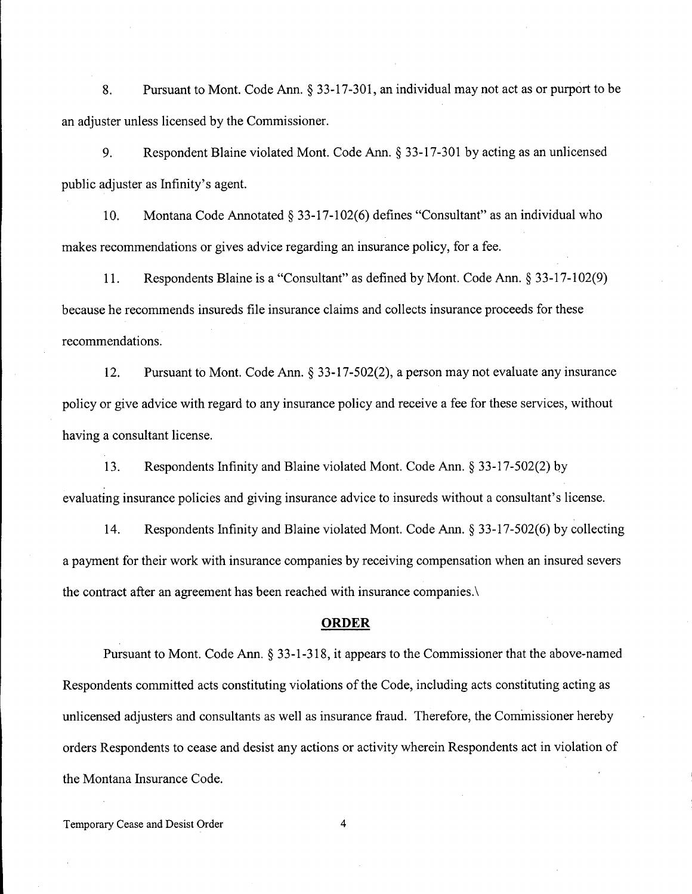8. Pursuant to Mont. Code Ann. S 33-17-301, an individual may not act as or purport to be an adjuster unless licensed by the Commissioner.

9. Respondent Blaine violated Mont. Code Ann. S 33-17-301 by acting as an unlicensed public adjuster as Infinity's agent.

10. Montana Code Annotated  $\S$  33-17-102(6) defines "Consultant" as an individual who makes recommendations or gives advice regarding an insurance policy, for a fee.

11. Respondents Blaine is a "Consultant" as defined by Mont. Code Ann. S 33-17-102(9) because he recommends insureds file insurance claims and collects insurance proceeds for these recommendations.

12. Pursuant to Mont. Code Ann.  $\S 33-17-502(2)$ , a person may not evaluate any insurance policy or give advice with regard to any insurance policy and receive a fee for these services, without having a consultant license.

13. Respondents Infinity and Blaine violated Mont. Code Ann. S 33-17-502(2) by evaluating insurance policies and giving insurance advice to insureds without a consultant's license.

14. Respondents Infinity and Blaine violated Mont. Code Ann. S 33-17-502(6) by collecting a payment for their work with insurance companies by receiving compensation when an insured severs the contract after an agreement has been reached with insurance companies.\

## **ORDER**

Pursuant to Mont. Code Ann. § 33-1-318, it appears to the Commissioner that the above-named Respondents committed acts constituting violations of the Code, including acts constituting acting as unlicensed adjusters and consultants as well as insurance fraud. Therefore, the Commissioner hereby orders Respondents to cease and desist any actions or activity wherein Respondents act in violation of the Montana Insurance Code.

Temporary Cease and Desist Order 4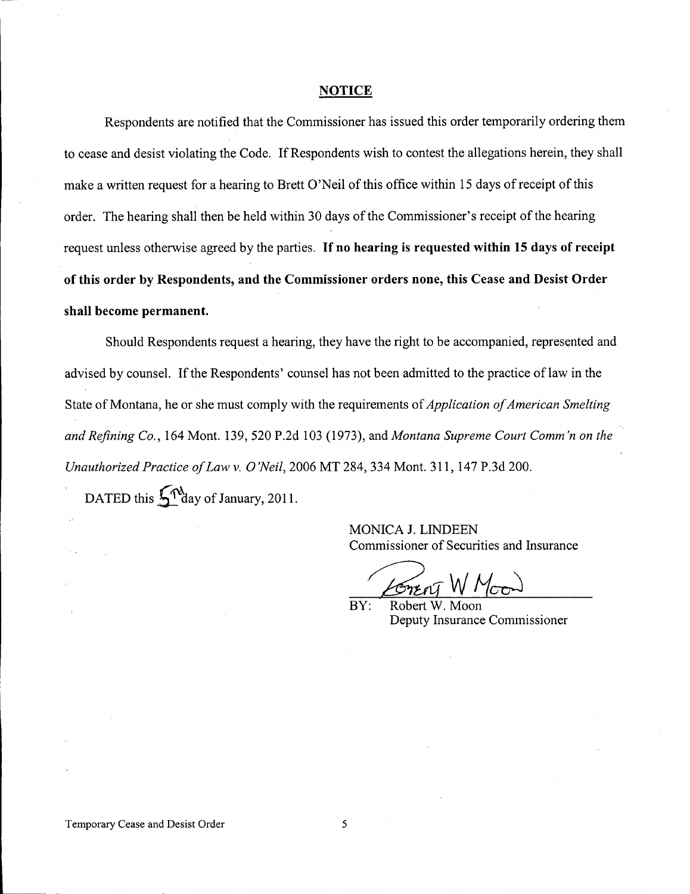#### **NOTICE**

Respondents are notified that the Commissioner has issued this order temporarily ordering them to cease and desist violating the Code. If Respondents wish to contest the allegations herein, they shall make a written request for a hearing to Brett O'Neil of this office within 15 days of receipt of this order. The hearing shall then be held within 30 days of the Commissioner's receipt of the hearing request unless otherwise agreed by the parties. If no hearing is requested within 15 days of receipt of this order by Respondents, and the Commissioner orders none, this Cease and Desist Order shall become permanent.

Should Respondents request a hearing, they have the right to be accompanied, represented and advised by counsel. If the Respondents' counsel has not been admitted to the practice of law in the State of Montana, he or she must comply with the requirements of *Application of American Smelting and Refining Co.,* 164 Mont. 139,520 P.2d 103 (1973), and *Montana Supreme Court Comm 'n on the Unauthorized Practice of Law* v. 0*'Neil,* <sup>2006</sup> MT 284, <sup>334</sup> Mont. 311, <sup>147</sup> P.3d 200.

DATED this  $\int_0^{\Lambda} \gamma_{\text{day}}^3$  of January, 2011.

MONICA J. LINDEEN Commissioner of Securities and Insurance

Grent W Mood

 $BY:$ Deputy Insurance Commissioner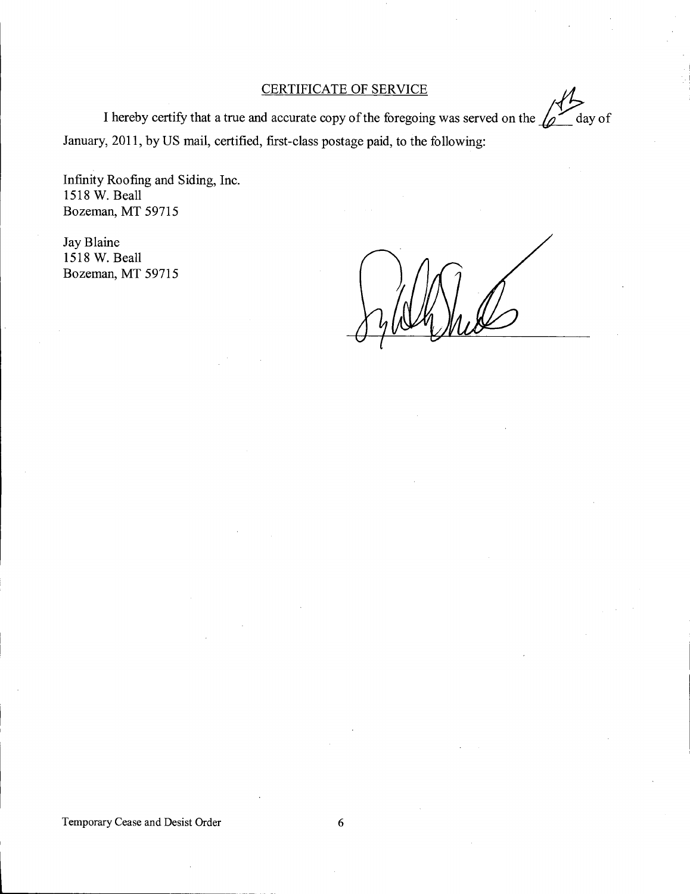# CERTIFICATE OF SERVICE

I hereby certify that a true and accurate copy of the foregoing was served on the  $\sqrt{2}$  day of January, 2011, by US mail, certified, first-class postage paid, to the following:

Infinity Roofing and Siding, Inc. 1518 W. Beall Bozeman, MT 59715

Jay Blaine 1518 W. Beall Bozeman, MT 59715